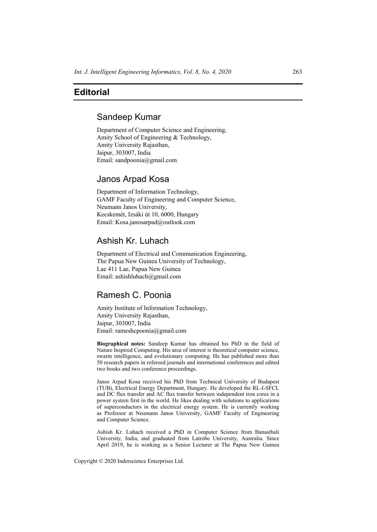# **Editorial**

## Sandeep Kumar

Department of Computer Science and Engineering, Amity School of Engineering & Technology, Amity University Rajasthan, Jaipur, 303007, India Email: sandpoonia@gmail.com

### Janos Arpad Kosa

Department of Information Technology, GAMF Faculty of Engineering and Computer Science, Neumann Janos University, Kecskemét, Izsáki út 10, 6000, Hungary Email: Kosa.janosarpad@outlook.com

## Ashish Kr. Luhach

Department of Electrical and Communication Engineering, The Papua New Guinea University of Technology, Lae 411 Lae, Papua New Guinea Email: ashishluhach@gmail.com

### Ramesh C. Poonia

Amity Institute of Information Technology, Amity University Rajasthan, Jaipur, 303007, India Email: rameshcpoonia@gmail.com

**Biographical notes:** Sandeep Kumar has obtained his PhD in the field of Nature Inspired Computing. His area of interest is theoretical computer science, swarm intelligence, and evolutionary computing. He has published more than 50 research papers in refereed journals and international conferences and edited two books and two conference proceedings.

Janos Arpad Kosa received his PhD from Technical University of Budapest (TUB), Electrical Energy Department, Hungary. He developed the RL-I-SFCL and DC flux transfer and AC flux transfer between independent iron cores in a power system first in the world. He likes dealing with solutions to applications of superconductors in the electrical energy system. He is currently working as Professor at Neumann Janos University, GAMF Faculty of Engineering and Computer Science.

Ashish Kr. Luhach received a PhD in Computer Science from Banasthali University, India, and graduated from Latrobe University, Australia. Since April 2019, he is working as a Senior Lecturer at The Papua New Guinea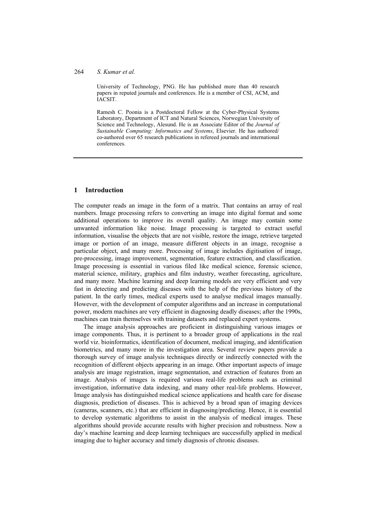#### 264 *S. Kumar et al.*

University of Technology, PNG. He has published more than 40 research papers in reputed journals and conferences. He is a member of CSI, ACM, and IACSIT.

Ramesh C. Poonia is a Postdoctoral Fellow at the Cyber-Physical Systems Laboratory, Department of ICT and Natural Sciences, Norwegian University of Science and Technology, Alesund. He is an Associate Editor of the *Journal of Sustainable Computing: Informatics and Systems*, Elsevier. He has authored/ co-authored over 65 research publications in refereed journals and international conferences.

### **1 Introduction**

The computer reads an image in the form of a matrix. That contains an array of real numbers. Image processing refers to converting an image into digital format and some additional operations to improve its overall quality. An image may contain some unwanted information like noise. Image processing is targeted to extract useful information, visualise the objects that are not visible, restore the image, retrieve targeted image or portion of an image, measure different objects in an image, recognise a particular object, and many more. Processing of image includes digitisation of image, pre-processing, image improvement, segmentation, feature extraction, and classification. Image processing is essential in various filed like medical science, forensic science, material science, military, graphics and film industry, weather forecasting, agriculture, and many more. Machine learning and deep learning models are very efficient and very fast in detecting and predicting diseases with the help of the previous history of the patient. In the early times, medical experts used to analyse medical images manually. However, with the development of computer algorithms and an increase in computational power, modern machines are very efficient in diagnosing deadly diseases; after the 1990s, machines can train themselves with training datasets and replaced expert systems.

The image analysis approaches are proficient in distinguishing various images or image components. Thus, it is pertinent to a broader group of applications in the real world viz. bioinformatics, identification of document, medical imaging, and identification biometrics, and many more in the investigation area. Several review papers provide a thorough survey of image analysis techniques directly or indirectly connected with the recognition of different objects appearing in an image. Other important aspects of image analysis are image registration, image segmentation, and extraction of features from an image. Analysis of images is required various real-life problems such as criminal investigation, informative data indexing, and many other real-life problems. However, Image analysis has distinguished medical science applications and health care for disease diagnosis, prediction of diseases. This is achieved by a broad span of imaging devices (cameras, scanners, etc.) that are efficient in diagnosing/predicting. Hence, it is essential to develop systematic algorithms to assist in the analysis of medical images. These algorithms should provide accurate results with higher precision and robustness. Now a day's machine learning and deep learning techniques are successfully applied in medical imaging due to higher accuracy and timely diagnosis of chronic diseases.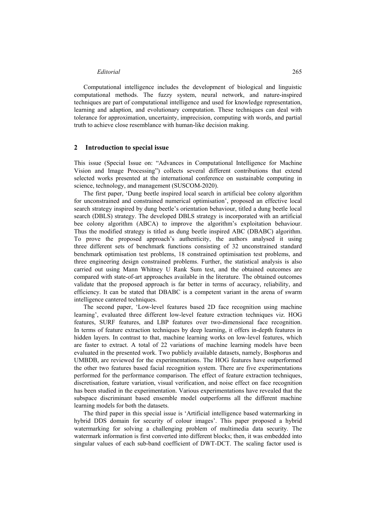### *Editorial* 265

Computational intelligence includes the development of biological and linguistic computational methods. The fuzzy system, neural network, and nature-inspired techniques are part of computational intelligence and used for knowledge representation, learning and adaption, and evolutionary computation. These techniques can deal with tolerance for approximation, uncertainty, imprecision, computing with words, and partial truth to achieve close resemblance with human-like decision making.

#### **2 Introduction to special issue**

This issue (Special Issue on: "Advances in Computational Intelligence for Machine Vision and Image Processing") collects several different contributions that extend selected works presented at the international conference on sustainable computing in science, technology, and management (SUSCOM-2020).

The first paper, 'Dung beetle inspired local search in artificial bee colony algorithm for unconstrained and constrained numerical optimisation', proposed an effective local search strategy inspired by dung beetle's orientation behaviour, titled a dung beetle local search (DBLS) strategy. The developed DBLS strategy is incorporated with an artificial bee colony algorithm (ABCA) to improve the algorithm's exploitation behaviour. Thus the modified strategy is titled as dung beetle inspired ABC (DBABC) algorithm. To prove the proposed approach's authenticity, the authors analysed it using three different sets of benchmark functions consisting of 32 unconstrained standard benchmark optimisation test problems, 18 constrained optimisation test problems, and three engineering design constrained problems. Further, the statistical analysis is also carried out using Mann Whitney U Rank Sum test, and the obtained outcomes are compared with state-of-art approaches available in the literature. The obtained outcomes validate that the proposed approach is far better in terms of accuracy, reliability, and efficiency. It can be stated that DBABC is a competent variant in the arena of swarm intelligence cantered techniques.

The second paper, 'Low-level features based 2D face recognition using machine learning', evaluated three different low-level feature extraction techniques viz. HOG features, SURF features, and LBP features over two-dimensional face recognition. In terms of feature extraction techniques by deep learning, it offers in-depth features in hidden layers. In contrast to that, machine learning works on low-level features, which are faster to extract. A total of 22 variations of machine learning models have been evaluated in the presented work. Two publicly available datasets, namely, Bosphorus and UMBDB, are reviewed for the experimentations. The HOG features have outperformed the other two features based facial recognition system. There are five experimentations performed for the performance comparison. The effect of feature extraction techniques, discretisation, feature variation, visual verification, and noise effect on face recognition has been studied in the experimentation. Various experimentations have revealed that the subspace discriminant based ensemble model outperforms all the different machine learning models for both the datasets.

The third paper in this special issue is 'Artificial intelligence based watermarking in hybrid DDS domain for security of colour images'. This paper proposed a hybrid watermarking for solving a challenging problem of multimedia data security. The watermark information is first converted into different blocks; then, it was embedded into singular values of each sub-band coefficient of DWT-DCT. The scaling factor used is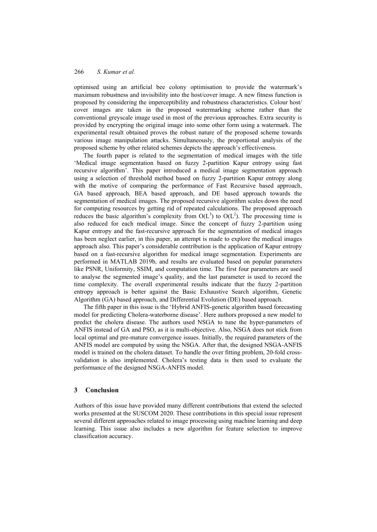optimised using an artificial bee colony optimisation to provide the watermark's maximum robustness and invisibility into the host/cover image. A new fitness function is proposed by considering the imperceptibility and robustness characteristics. Colour host/ cover images are taken in the proposed watermarking scheme rather than the conventional greyscale image used in most of the previous approaches. Extra security is provided by encrypting the original image into some other form using a watermark. The experimental result obtained proves the robust nature of the proposed scheme towards various image manipulation attacks. Simultaneously, the proportional analysis of the proposed scheme by other related schemes depicts the approach's effectiveness.

The fourth paper is related to the segmentation of medical images with the title 'Medical image segmentation based on fuzzy 2-partition Kapur entropy using fast recursive algorithm'. This paper introduced a medical image segmentation approach using a selection of threshold method based on fuzzy 2-partition Kapur entropy along with the motive of comparing the performance of Fast Recursive based approach, GA based approach, BEA based approach, and DE based approach towards the segmentation of medical images. The proposed recursive algorithm scales down the need for computing resources by getting rid of repeated calculations. The proposed approach reduces the basic algorithm's complexity from  $O(L^3)$  to  $O(L^2)$ . The processing time is also reduced for each medical image. Since the concept of fuzzy 2-partition using Kapur entropy and the fast-recursive approach for the segmentation of medical images has been neglect earlier, in this paper, an attempt is made to explore the medical images approach also. This paper's considerable contribution is the application of Kapur entropy based on a fast-recursive algorithm for medical image segmentation. Experiments are performed in MATLAB 2019b, and results are evaluated based on popular parameters like PSNR, Uniformity, SSIM, and computation time. The first four parameters are used to analyse the segmented image's quality, and the last parameter is used to record the time complexity. The overall experimental results indicate that the fuzzy 2-partition entropy approach is better against the Basic Exhaustive Search algorithm, Genetic Algorithm (GA) based approach, and Differential Evolution (DE) based approach.

The fifth paper in this issue is the 'Hybrid ANFIS-genetic algorithm based forecasting model for predicting Cholera-waterborne disease'. Here authors proposed a new model to predict the cholera disease. The authors used NSGA to tune the hyper-parameters of ANFIS instead of GA and PSO, as it is multi-objective. Also, NSGA does not stick from local optimal and pre-mature convergence issues. Initially, the required parameters of the ANFIS model are computed by using the NSGA. After that, the designed NSGA-ANFIS model is trained on the cholera dataset. To handle the over fitting problem, 20-fold crossvalidation is also implemented. Cholera's testing data is then used to evaluate the performance of the designed NSGA-ANFIS model.

### **3 Conclusion**

Authors of this issue have provided many different contributions that extend the selected works presented at the SUSCOM 2020. These contributions in this special issue represent several different approaches related to image processing using machine learning and deep learning. This issue also includes a new algorithm for feature selection to improve classification accuracy.